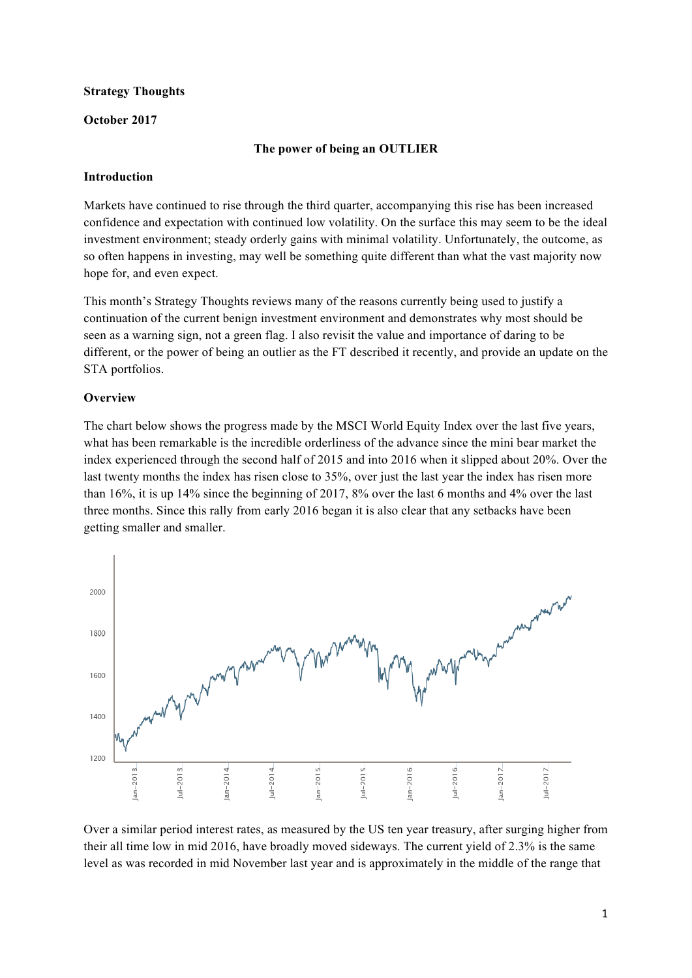### **Strategy Thoughts**

### **October 2017**

### **The power of being an OUTLIER**

### **Introduction**

Markets have continued to rise through the third quarter, accompanying this rise has been increased confidence and expectation with continued low volatility. On the surface this may seem to be the ideal investment environment; steady orderly gains with minimal volatility. Unfortunately, the outcome, as so often happens in investing, may well be something quite different than what the vast majority now hope for, and even expect.

This month's Strategy Thoughts reviews many of the reasons currently being used to justify a continuation of the current benign investment environment and demonstrates why most should be seen as a warning sign, not a green flag. I also revisit the value and importance of daring to be different, or the power of being an outlier as the FT described it recently, and provide an update on the STA portfolios.

### **Overview**

The chart below shows the progress made by the MSCI World Equity Index over the last five years, what has been remarkable is the incredible orderliness of the advance since the mini bear market the index experienced through the second half of 2015 and into 2016 when it slipped about 20%. Over the last twenty months the index has risen close to 35%, over just the last year the index has risen more than 16%, it is up 14% since the beginning of 2017, 8% over the last 6 months and 4% over the last three months. Since this rally from early 2016 began it is also clear that any setbacks have been getting smaller and smaller.



Over a similar period interest rates, as measured by the US ten year treasury, after surging higher from their all time low in mid 2016, have broadly moved sideways. The current yield of 2.3% is the same level as was recorded in mid November last year and is approximately in the middle of the range that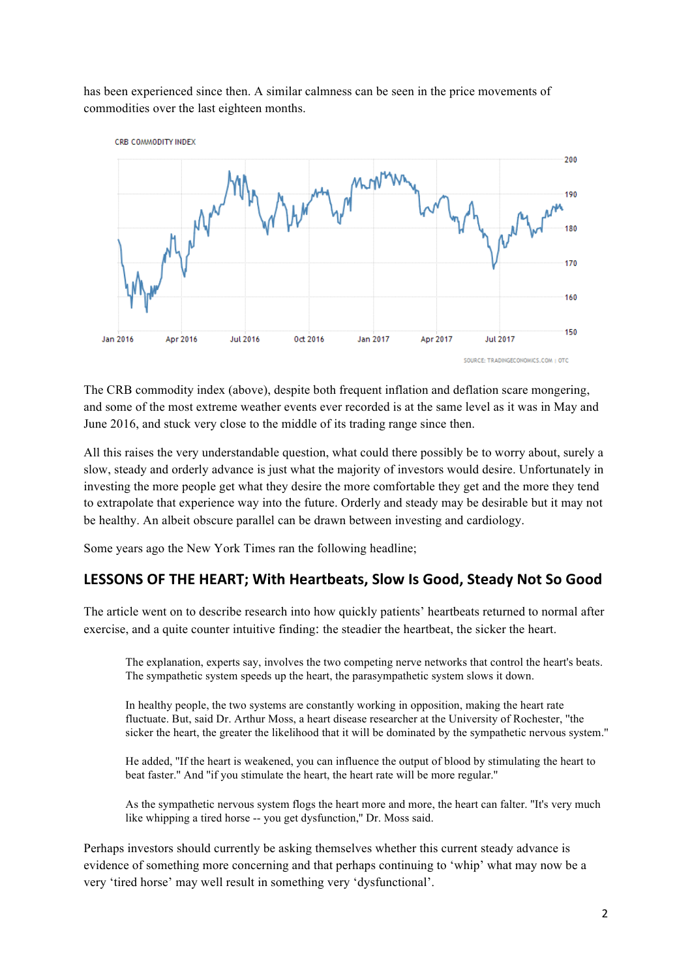has been experienced since then. A similar calmness can be seen in the price movements of commodities over the last eighteen months.



The CRB commodity index (above), despite both frequent inflation and deflation scare mongering, and some of the most extreme weather events ever recorded is at the same level as it was in May and June 2016, and stuck very close to the middle of its trading range since then.

All this raises the very understandable question, what could there possibly be to worry about, surely a slow, steady and orderly advance is just what the majority of investors would desire. Unfortunately in investing the more people get what they desire the more comfortable they get and the more they tend to extrapolate that experience way into the future. Orderly and steady may be desirable but it may not be healthy. An albeit obscure parallel can be drawn between investing and cardiology.

Some years ago the New York Times ran the following headline;

## LESSONS OF THE HEART; With Heartbeats, Slow Is Good, Steady Not So Good

The article went on to describe research into how quickly patients' heartbeats returned to normal after exercise, and a quite counter intuitive finding: the steadier the heartbeat, the sicker the heart.

The explanation, experts say, involves the two competing nerve networks that control the heart's beats. The sympathetic system speeds up the heart, the parasympathetic system slows it down.

In healthy people, the two systems are constantly working in opposition, making the heart rate fluctuate. But, said Dr. Arthur Moss, a heart disease researcher at the University of Rochester, ''the sicker the heart, the greater the likelihood that it will be dominated by the sympathetic nervous system.''

He added, ''If the heart is weakened, you can influence the output of blood by stimulating the heart to beat faster.'' And ''if you stimulate the heart, the heart rate will be more regular.''

As the sympathetic nervous system flogs the heart more and more, the heart can falter. ''It's very much like whipping a tired horse -- you get dysfunction,'' Dr. Moss said.

Perhaps investors should currently be asking themselves whether this current steady advance is evidence of something more concerning and that perhaps continuing to 'whip' what may now be a very 'tired horse' may well result in something very 'dysfunctional'.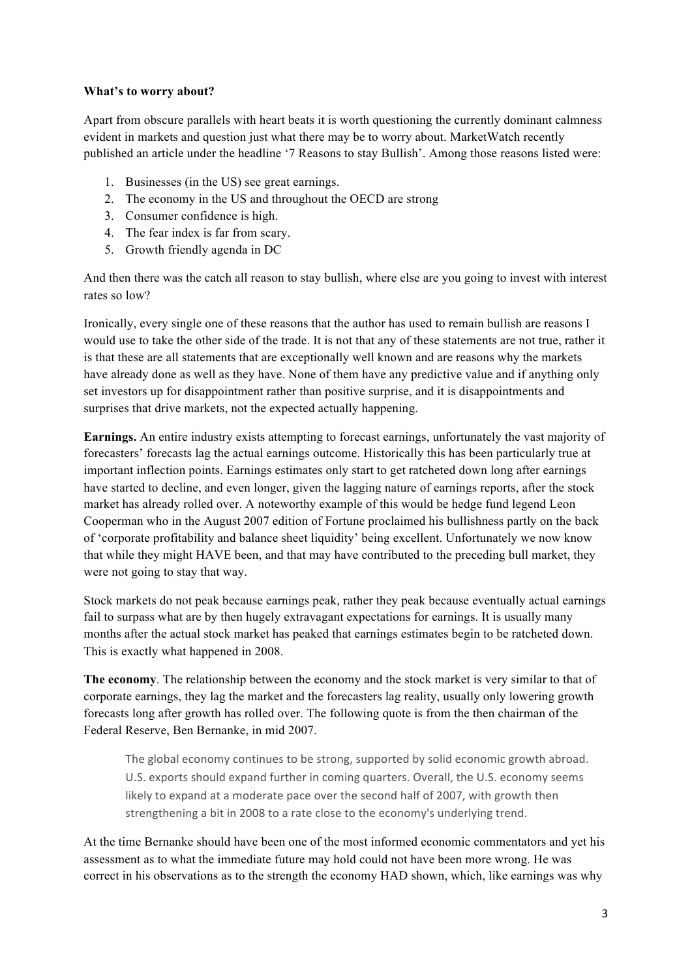### **What's to worry about?**

Apart from obscure parallels with heart beats it is worth questioning the currently dominant calmness evident in markets and question just what there may be to worry about. MarketWatch recently published an article under the headline '7 Reasons to stay Bullish'. Among those reasons listed were:

- 1. Businesses (in the US) see great earnings.
- 2. The economy in the US and throughout the OECD are strong
- 3. Consumer confidence is high.
- 4. The fear index is far from scary.
- 5. Growth friendly agenda in DC

And then there was the catch all reason to stay bullish, where else are you going to invest with interest rates so low?

Ironically, every single one of these reasons that the author has used to remain bullish are reasons I would use to take the other side of the trade. It is not that any of these statements are not true, rather it is that these are all statements that are exceptionally well known and are reasons why the markets have already done as well as they have. None of them have any predictive value and if anything only set investors up for disappointment rather than positive surprise, and it is disappointments and surprises that drive markets, not the expected actually happening.

**Earnings.** An entire industry exists attempting to forecast earnings, unfortunately the vast majority of forecasters' forecasts lag the actual earnings outcome. Historically this has been particularly true at important inflection points. Earnings estimates only start to get ratcheted down long after earnings have started to decline, and even longer, given the lagging nature of earnings reports, after the stock market has already rolled over. A noteworthy example of this would be hedge fund legend Leon Cooperman who in the August 2007 edition of Fortune proclaimed his bullishness partly on the back of 'corporate profitability and balance sheet liquidity' being excellent. Unfortunately we now know that while they might HAVE been, and that may have contributed to the preceding bull market, they were not going to stay that way.

Stock markets do not peak because earnings peak, rather they peak because eventually actual earnings fail to surpass what are by then hugely extravagant expectations for earnings. It is usually many months after the actual stock market has peaked that earnings estimates begin to be ratcheted down. This is exactly what happened in 2008.

**The economy**. The relationship between the economy and the stock market is very similar to that of corporate earnings, they lag the market and the forecasters lag reality, usually only lowering growth forecasts long after growth has rolled over. The following quote is from the then chairman of the Federal Reserve, Ben Bernanke, in mid 2007.

The global economy continues to be strong, supported by solid economic growth abroad. U.S. exports should expand further in coming quarters. Overall, the U.S. economy seems likely to expand at a moderate pace over the second half of 2007, with growth then strengthening a bit in 2008 to a rate close to the economy's underlying trend.

At the time Bernanke should have been one of the most informed economic commentators and yet his assessment as to what the immediate future may hold could not have been more wrong. He was correct in his observations as to the strength the economy HAD shown, which, like earnings was why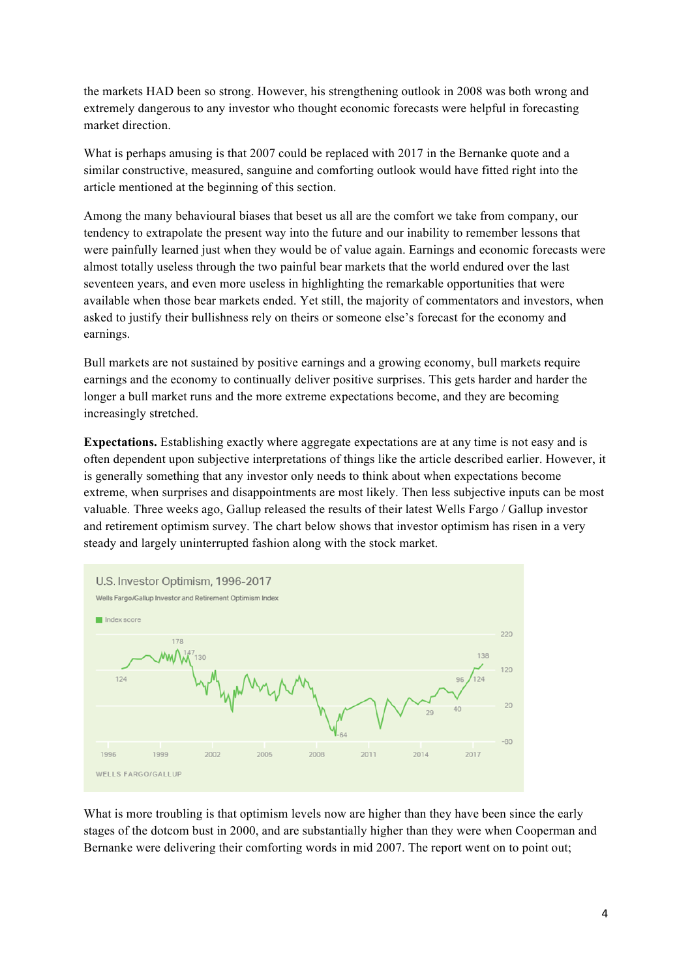the markets HAD been so strong. However, his strengthening outlook in 2008 was both wrong and extremely dangerous to any investor who thought economic forecasts were helpful in forecasting market direction.

What is perhaps amusing is that 2007 could be replaced with 2017 in the Bernanke quote and a similar constructive, measured, sanguine and comforting outlook would have fitted right into the article mentioned at the beginning of this section.

Among the many behavioural biases that beset us all are the comfort we take from company, our tendency to extrapolate the present way into the future and our inability to remember lessons that were painfully learned just when they would be of value again. Earnings and economic forecasts were almost totally useless through the two painful bear markets that the world endured over the last seventeen years, and even more useless in highlighting the remarkable opportunities that were available when those bear markets ended. Yet still, the majority of commentators and investors, when asked to justify their bullishness rely on theirs or someone else's forecast for the economy and earnings.

Bull markets are not sustained by positive earnings and a growing economy, bull markets require earnings and the economy to continually deliver positive surprises. This gets harder and harder the longer a bull market runs and the more extreme expectations become, and they are becoming increasingly stretched.

**Expectations.** Establishing exactly where aggregate expectations are at any time is not easy and is often dependent upon subjective interpretations of things like the article described earlier. However, it is generally something that any investor only needs to think about when expectations become extreme, when surprises and disappointments are most likely. Then less subjective inputs can be most valuable. Three weeks ago, Gallup released the results of their latest Wells Fargo / Gallup investor and retirement optimism survey. The chart below shows that investor optimism has risen in a very steady and largely uninterrupted fashion along with the stock market.



What is more troubling is that optimism levels now are higher than they have been since the early stages of the dotcom bust in 2000, and are substantially higher than they were when Cooperman and Bernanke were delivering their comforting words in mid 2007. The report went on to point out;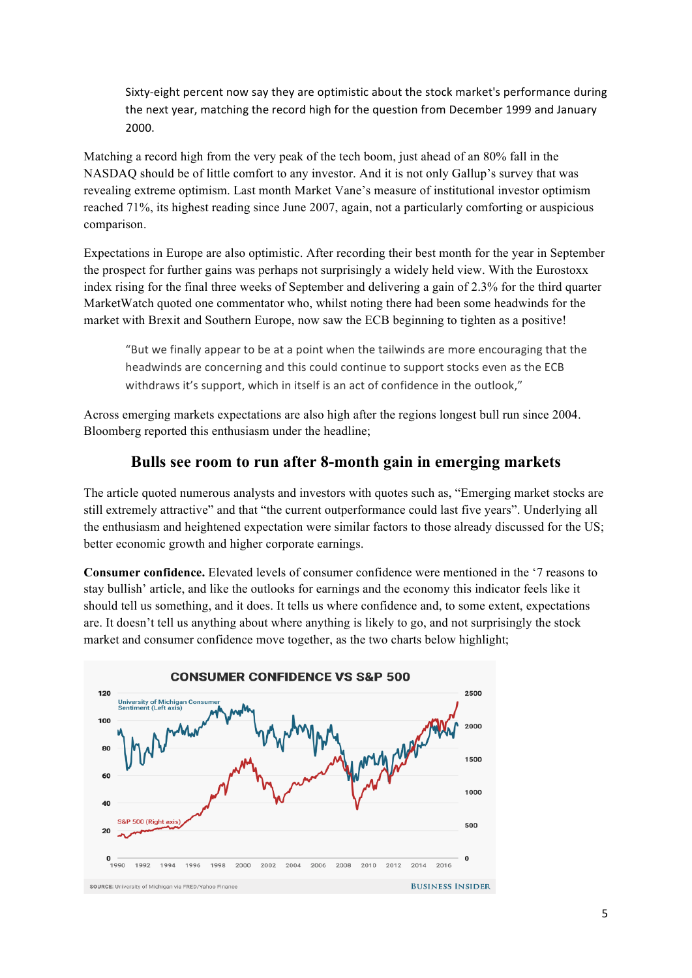Sixty-eight percent now say they are optimistic about the stock market's performance during the next year, matching the record high for the question from December 1999 and January 2000.

Matching a record high from the very peak of the tech boom, just ahead of an 80% fall in the NASDAQ should be of little comfort to any investor. And it is not only Gallup's survey that was revealing extreme optimism. Last month Market Vane's measure of institutional investor optimism reached 71%, its highest reading since June 2007, again, not a particularly comforting or auspicious comparison.

Expectations in Europe are also optimistic. After recording their best month for the year in September the prospect for further gains was perhaps not surprisingly a widely held view. With the Eurostoxx index rising for the final three weeks of September and delivering a gain of 2.3% for the third quarter MarketWatch quoted one commentator who, whilst noting there had been some headwinds for the market with Brexit and Southern Europe, now saw the ECB beginning to tighten as a positive!

"But we finally appear to be at a point when the tailwinds are more encouraging that the headwinds are concerning and this could continue to support stocks even as the ECB withdraws it's support, which in itself is an act of confidence in the outlook."

Across emerging markets expectations are also high after the regions longest bull run since 2004. Bloomberg reported this enthusiasm under the headline;

## **Bulls see room to run after 8-month gain in emerging markets**

The article quoted numerous analysts and investors with quotes such as, "Emerging market stocks are still extremely attractive" and that "the current outperformance could last five years". Underlying all the enthusiasm and heightened expectation were similar factors to those already discussed for the US; better economic growth and higher corporate earnings.

**Consumer confidence.** Elevated levels of consumer confidence were mentioned in the '7 reasons to stay bullish' article, and like the outlooks for earnings and the economy this indicator feels like it should tell us something, and it does. It tells us where confidence and, to some extent, expectations are. It doesn't tell us anything about where anything is likely to go, and not surprisingly the stock market and consumer confidence move together, as the two charts below highlight;

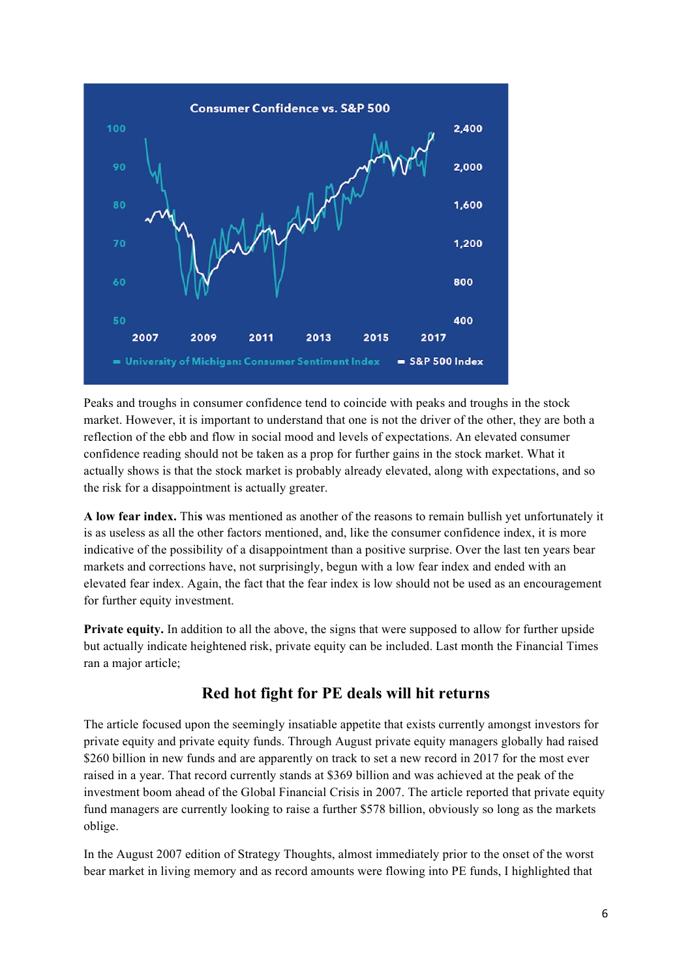

Peaks and troughs in consumer confidence tend to coincide with peaks and troughs in the stock market. However, it is important to understand that one is not the driver of the other, they are both a reflection of the ebb and flow in social mood and levels of expectations. An elevated consumer confidence reading should not be taken as a prop for further gains in the stock market. What it actually shows is that the stock market is probably already elevated, along with expectations, and so the risk for a disappointment is actually greater.

**A low fear index.** Thi**s** was mentioned as another of the reasons to remain bullish yet unfortunately it is as useless as all the other factors mentioned, and, like the consumer confidence index, it is more indicative of the possibility of a disappointment than a positive surprise. Over the last ten years bear markets and corrections have, not surprisingly, begun with a low fear index and ended with an elevated fear index. Again, the fact that the fear index is low should not be used as an encouragement for further equity investment.

**Private equity.** In addition to all the above, the signs that were supposed to allow for further upside but actually indicate heightened risk, private equity can be included. Last month the Financial Times ran a major article;

# **Red hot fight for PE deals will hit returns**

The article focused upon the seemingly insatiable appetite that exists currently amongst investors for private equity and private equity funds. Through August private equity managers globally had raised \$260 billion in new funds and are apparently on track to set a new record in 2017 for the most ever raised in a year. That record currently stands at \$369 billion and was achieved at the peak of the investment boom ahead of the Global Financial Crisis in 2007. The article reported that private equity fund managers are currently looking to raise a further \$578 billion, obviously so long as the markets oblige.

In the August 2007 edition of Strategy Thoughts, almost immediately prior to the onset of the worst bear market in living memory and as record amounts were flowing into PE funds, I highlighted that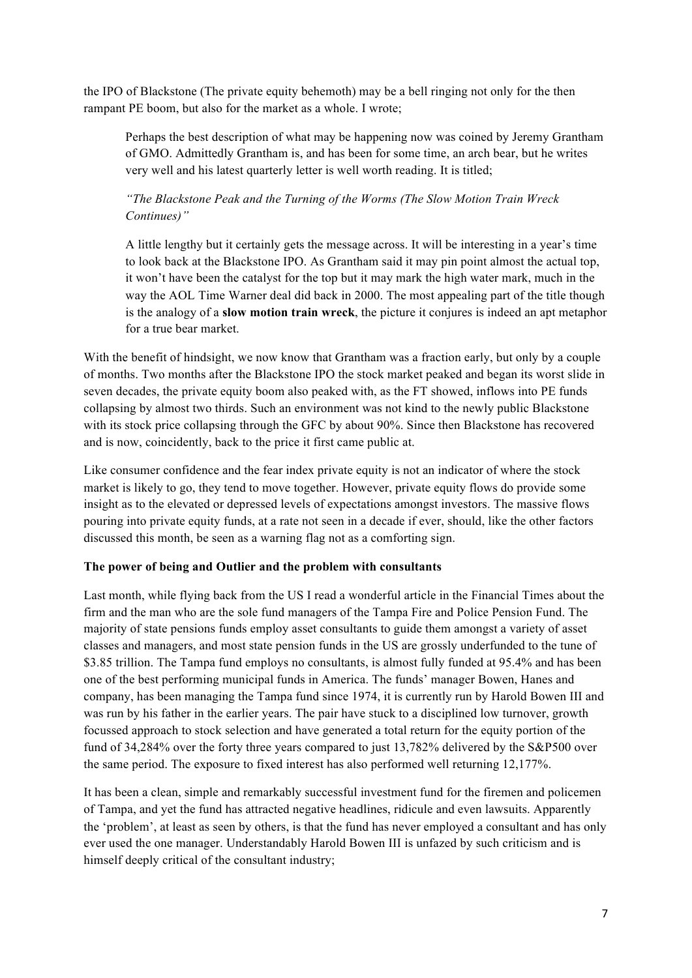the IPO of Blackstone (The private equity behemoth) may be a bell ringing not only for the then rampant PE boom, but also for the market as a whole. I wrote;

Perhaps the best description of what may be happening now was coined by Jeremy Grantham of GMO. Admittedly Grantham is, and has been for some time, an arch bear, but he writes very well and his latest quarterly letter is well worth reading. It is titled;

## *"The Blackstone Peak and the Turning of the Worms (The Slow Motion Train Wreck Continues)"*

A little lengthy but it certainly gets the message across. It will be interesting in a year's time to look back at the Blackstone IPO. As Grantham said it may pin point almost the actual top, it won't have been the catalyst for the top but it may mark the high water mark, much in the way the AOL Time Warner deal did back in 2000. The most appealing part of the title though is the analogy of a **slow motion train wreck**, the picture it conjures is indeed an apt metaphor for a true bear market.

With the benefit of hindsight, we now know that Grantham was a fraction early, but only by a couple of months. Two months after the Blackstone IPO the stock market peaked and began its worst slide in seven decades, the private equity boom also peaked with, as the FT showed, inflows into PE funds collapsing by almost two thirds. Such an environment was not kind to the newly public Blackstone with its stock price collapsing through the GFC by about 90%. Since then Blackstone has recovered and is now, coincidently, back to the price it first came public at.

Like consumer confidence and the fear index private equity is not an indicator of where the stock market is likely to go, they tend to move together. However, private equity flows do provide some insight as to the elevated or depressed levels of expectations amongst investors. The massive flows pouring into private equity funds, at a rate not seen in a decade if ever, should, like the other factors discussed this month, be seen as a warning flag not as a comforting sign.

### **The power of being and Outlier and the problem with consultants**

Last month, while flying back from the US I read a wonderful article in the Financial Times about the firm and the man who are the sole fund managers of the Tampa Fire and Police Pension Fund. The majority of state pensions funds employ asset consultants to guide them amongst a variety of asset classes and managers, and most state pension funds in the US are grossly underfunded to the tune of \$3.85 trillion. The Tampa fund employs no consultants, is almost fully funded at 95.4% and has been one of the best performing municipal funds in America. The funds' manager Bowen, Hanes and company, has been managing the Tampa fund since 1974, it is currently run by Harold Bowen III and was run by his father in the earlier years. The pair have stuck to a disciplined low turnover, growth focussed approach to stock selection and have generated a total return for the equity portion of the fund of 34,284% over the forty three years compared to just 13,782% delivered by the S&P500 over the same period. The exposure to fixed interest has also performed well returning 12,177%.

It has been a clean, simple and remarkably successful investment fund for the firemen and policemen of Tampa, and yet the fund has attracted negative headlines, ridicule and even lawsuits. Apparently the 'problem', at least as seen by others, is that the fund has never employed a consultant and has only ever used the one manager. Understandably Harold Bowen III is unfazed by such criticism and is himself deeply critical of the consultant industry;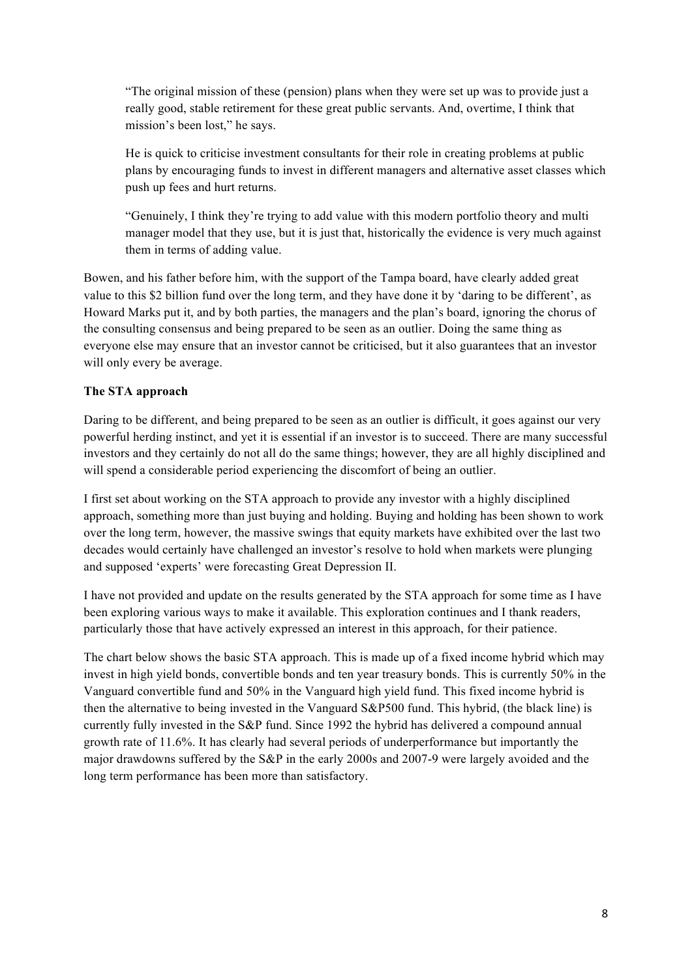"The original mission of these (pension) plans when they were set up was to provide just a really good, stable retirement for these great public servants. And, overtime, I think that mission's been lost," he says.

He is quick to criticise investment consultants for their role in creating problems at public plans by encouraging funds to invest in different managers and alternative asset classes which push up fees and hurt returns.

"Genuinely, I think they're trying to add value with this modern portfolio theory and multi manager model that they use, but it is just that, historically the evidence is very much against them in terms of adding value.

Bowen, and his father before him, with the support of the Tampa board, have clearly added great value to this \$2 billion fund over the long term, and they have done it by 'daring to be different', as Howard Marks put it, and by both parties, the managers and the plan's board, ignoring the chorus of the consulting consensus and being prepared to be seen as an outlier. Doing the same thing as everyone else may ensure that an investor cannot be criticised, but it also guarantees that an investor will only every be average.

### **The STA approach**

Daring to be different, and being prepared to be seen as an outlier is difficult, it goes against our very powerful herding instinct, and yet it is essential if an investor is to succeed. There are many successful investors and they certainly do not all do the same things; however, they are all highly disciplined and will spend a considerable period experiencing the discomfort of being an outlier.

I first set about working on the STA approach to provide any investor with a highly disciplined approach, something more than just buying and holding. Buying and holding has been shown to work over the long term, however, the massive swings that equity markets have exhibited over the last two decades would certainly have challenged an investor's resolve to hold when markets were plunging and supposed 'experts' were forecasting Great Depression II.

I have not provided and update on the results generated by the STA approach for some time as I have been exploring various ways to make it available. This exploration continues and I thank readers, particularly those that have actively expressed an interest in this approach, for their patience.

The chart below shows the basic STA approach. This is made up of a fixed income hybrid which may invest in high yield bonds, convertible bonds and ten year treasury bonds. This is currently 50% in the Vanguard convertible fund and 50% in the Vanguard high yield fund. This fixed income hybrid is then the alternative to being invested in the Vanguard S&P500 fund. This hybrid, (the black line) is currently fully invested in the S&P fund. Since 1992 the hybrid has delivered a compound annual growth rate of 11.6%. It has clearly had several periods of underperformance but importantly the major drawdowns suffered by the S&P in the early 2000s and 2007-9 were largely avoided and the long term performance has been more than satisfactory.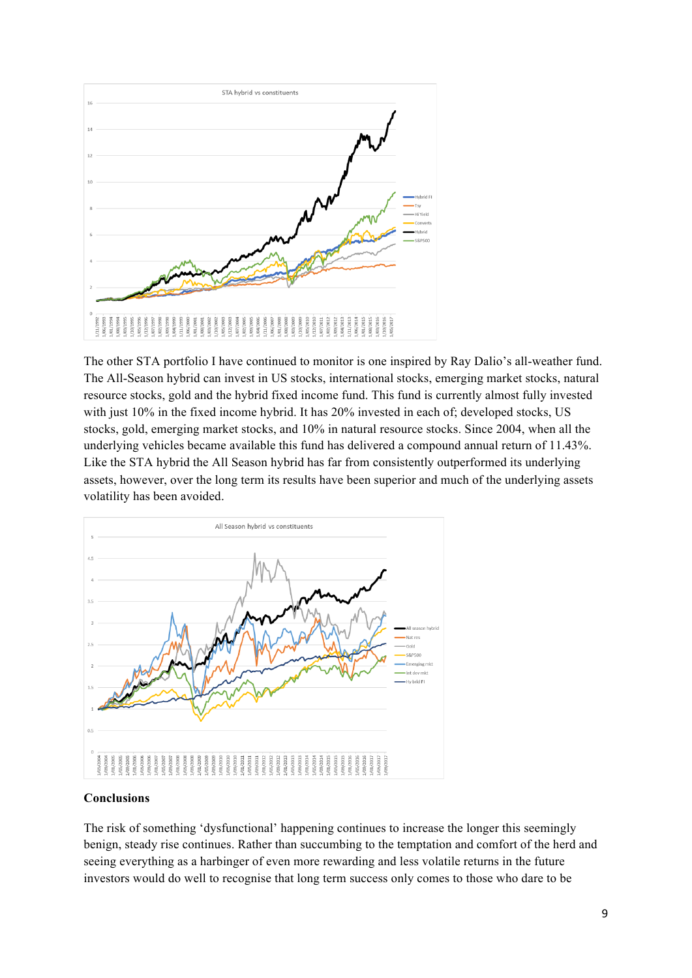

The other STA portfolio I have continued to monitor is one inspired by Ray Dalio's all-weather fund. The All-Season hybrid can invest in US stocks, international stocks, emerging market stocks, natural resource stocks, gold and the hybrid fixed income fund. This fund is currently almost fully invested with just 10% in the fixed income hybrid. It has 20% invested in each of; developed stocks, US stocks, gold, emerging market stocks, and 10% in natural resource stocks. Since 2004, when all the underlying vehicles became available this fund has delivered a compound annual return of 11.43%. Like the STA hybrid the All Season hybrid has far from consistently outperformed its underlying assets, however, over the long term its results have been superior and much of the underlying assets volatility has been avoided.



### **Conclusions**

The risk of something 'dysfunctional' happening continues to increase the longer this seemingly benign, steady rise continues. Rather than succumbing to the temptation and comfort of the herd and seeing everything as a harbinger of even more rewarding and less volatile returns in the future investors would do well to recognise that long term success only comes to those who dare to be